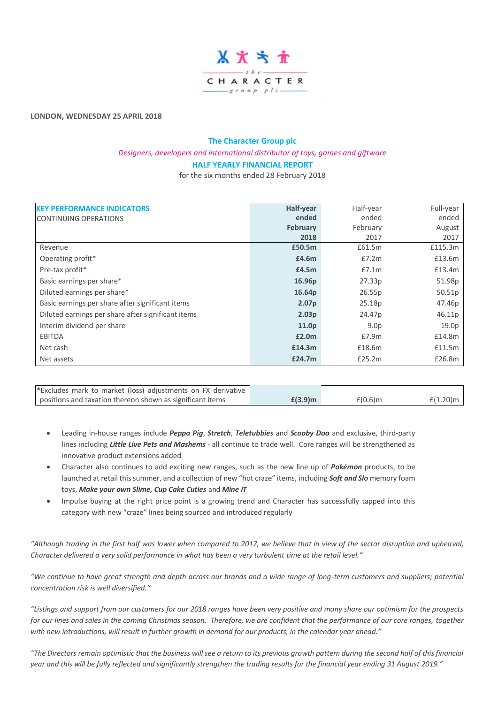

**LONDON, WEDNESDAY 25 APRIL 2018**

# **The Character Group plc** *Designers, developers and international distributor of toys, games and giftware* **HALF YEARLY FINANCIAL REPORT**

for the six months ended 28 February 2018

| <b>KEY PERFORMANCE INDICATORS</b>                  | Half-year         | Half-year        | Full-year |
|----------------------------------------------------|-------------------|------------------|-----------|
| <b>CONTINUING OPERATIONS</b>                       | ended             | ended            | ended     |
|                                                    | February          | February         | August    |
|                                                    | 2018              | 2017             | 2017      |
| Revenue                                            | £50.5m            | £61.5m           | £115.3m   |
| Operating profit*                                  | £4.6m             | £7.2m            | £13.6m    |
| Pre-tax profit*                                    | £4.5m             | £7.1m            | £13.4m    |
| Basic earnings per share*                          | 16.96p            | 27.33p           | 51.98p    |
| Diluted earnings per share*                        | 16.64p            | 26.55p           | 50.51p    |
| Basic earnings per share after significant items   | 2.07 <sub>p</sub> | 25.18p           | 47.46p    |
| Diluted earnings per share after significant items | 2.03 <sub>p</sub> | 24.47p           | 46.11p    |
| Interim dividend per share                         | 11.0p             | 9.0 <sub>p</sub> | 19.0p     |
| <b>EBITDA</b>                                      | £2.0m             | £7.9m            | £14.8m    |
| Net cash                                           | £14.3m            | £18.6m           | £11.5m    |
| Net assets                                         | £24.7m            | £25.2m           | £26.8m    |

| *Excludes mark to market (loss) adjustments on FX derivative |            |            |             |
|--------------------------------------------------------------|------------|------------|-------------|
| positions and taxation thereon shown as significant items    | $£(3.9)$ m | $£(0.6)$ m | $f(1.20)$ m |

- Leading in-house ranges include *Peppa Pig*, *Stretch*, *Teletubbies* and *Scooby Doo* and exclusive, third-party lines including *Little Live Pets and Mashems* - all continue to trade well. Core ranges will be strengthened as innovative product extensions added
- Character also continues to add exciting new ranges, such as the new line up of *Pokémon* products, to be launched at retail this summer, and a collection of new "hot craze" items, including *Soft and Slo* memory foam toys, *Make your own Slime, Cup Cake Cuties* and *Mine iT*
- Impulse buying at the right price point is a growing trend and Character has successfully tapped into this category with new "craze" lines being sourced and introduced regularly

*"Although trading in the first half was lower when compared to 2017, we believe that in view of the sector disruption and upheaval, Character delivered a very solid performance in what has been a very turbulent time at the retail level."*

*"We continue to have great strength and depth across our brands and a wide range of long-term customers and suppliers; potential concentration risk is well diversified."*

*"Listings and support from our customers for our 2018 ranges have been very positive and many share our optimism for the prospects for our lines and sales in the coming Christmas season. Therefore, we are confident that the performance of our core ranges, together with new introductions, will result in further growth in demand for our products, in the calendar year ahead."*

*"The Directors remain optimistic that the business will see a return to its previous growth pattern during the second half of this financial year and this will be fully reflected and significantly strengthen the trading results for the financial year ending 31 August 2019."*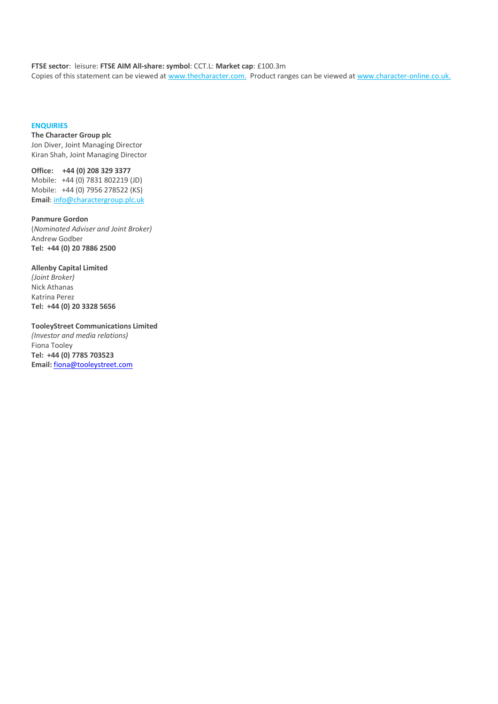### **FTSE sector**: leisure: **FTSE AIM All-share: symbol**: CCT.L: **Market cap**: £100.3m

Copies of this statement can be viewed at [www.thecharacter.com.](http://www.thecharacter.com/) Product ranges can be viewed at [www.character-online.co.uk.](http://www.character-online.co.uk/)

# **ENQUIRIES**

**The Character Group plc** Jon Diver, Joint Managing Director Kiran Shah, Joint Managing Director

**Office: +44 (0) 208 329 3377** Mobile: +44 (0) 7831 802219 (JD) Mobile: +44 (0) 7956 278522 (KS) **Email**: [info@charactergroup.plc.uk](mailto:info@charactergroup.plc.uk)

**Panmure Gordon** (*Nominated Adviser and Joint Broker)* Andrew Godber **Tel: +44 (0) 20 7886 2500**

**Allenby Capital Limited**  *(Joint Broker)* Nick Athanas Katrina Perez **Tel: +44 (0) 20 3328 5656**

**TooleyStreet Communications Limited**  *(Investor and media relations)* Fiona Tooley **Tel: +44 (0) 7785 703523 Email:** [fiona@tooleystreet.com](mailto:fiona@tooleystreet.com)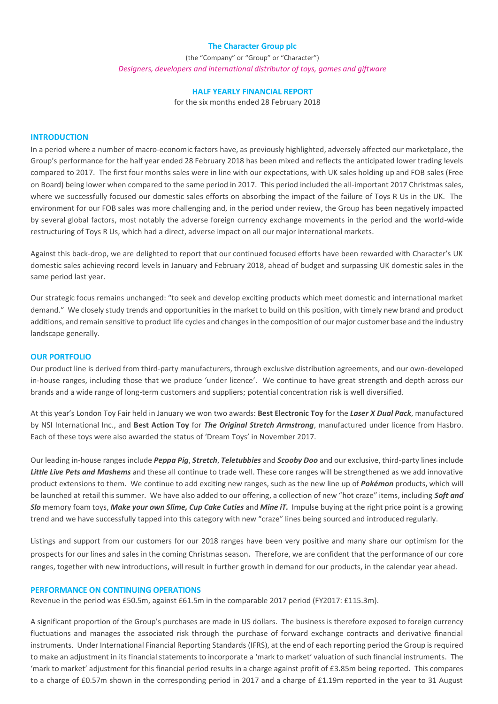### **The Character Group plc**

(the "Company" or "Group" or "Character") *Designers, developers and international distributor of toys, games and giftware*

### **HALF YEARLY FINANCIAL REPORT**

for the six months ended 28 February 2018

### **INTRODUCTION**

In a period where a number of macro-economic factors have, as previously highlighted, adversely affected our marketplace, the Group's performance for the half year ended 28 February 2018 has been mixed and reflects the anticipated lower trading levels compared to 2017. The first four months sales were in line with our expectations, with UK sales holding up and FOB sales (Free on Board) being lower when compared to the same period in 2017. This period included the all-important 2017 Christmas sales, where we successfully focused our domestic sales efforts on absorbing the impact of the failure of Toys R Us in the UK. The environment for our FOB sales was more challenging and, in the period under review, the Group has been negatively impacted by several global factors, most notably the adverse foreign currency exchange movements in the period and the world-wide restructuring of Toys R Us, which had a direct, adverse impact on all our major international markets.

Against this back-drop, we are delighted to report that our continued focused efforts have been rewarded with Character's UK domestic sales achieving record levels in January and February 2018, ahead of budget and surpassing UK domestic sales in the same period last year.

Our strategic focus remains unchanged: "to seek and develop exciting products which meet domestic and international market demand." We closely study trends and opportunities in the market to build on this position, with timely new brand and product additions, and remain sensitive to product life cycles and changes in the composition of our major customer base and the industry landscape generally.

### **OUR PORTFOLIO**

Our product line is derived from third-party manufacturers, through exclusive distribution agreements, and our own-developed in-house ranges, including those that we produce 'under licence'. We continue to have great strength and depth across our brands and a wide range of long-term customers and suppliers; potential concentration risk is well diversified.

At this year's London Toy Fair held in January we won two awards: **Best Electronic Toy** for the *Laser X Dual Pack*, manufactured by NSI International Inc., and **Best Action Toy** for *The Original Stretch Armstrong*, manufactured under licence from Hasbro. Each of these toys were also awarded the status of 'Dream Toys' in November 2017.

Our leading in-house ranges include *Peppa Pig*, *Stretch*, *Teletubbies* and *Scooby Doo* and our exclusive, third-party lines include *Little Live Pets and Mashems* and these all continue to trade well. These core ranges will be strengthened as we add innovative product extensions to them. We continue to add exciting new ranges, such as the new line up of *Pokémon* products, which will be launched at retail this summer. We have also added to our offering, a collection of new "hot craze" items, including *Soft and Slo* memory foam toys, *Make your own Slime, Cup Cake Cuties* and *Mine iT.* Impulse buying at the right price point is a growing trend and we have successfully tapped into this category with new "craze" lines being sourced and introduced regularly.

Listings and support from our customers for our 2018 ranges have been very positive and many share our optimism for the prospects for our lines and sales in the coming Christmas season. Therefore, we are confident that the performance of our core ranges, together with new introductions, will result in further growth in demand for our products, in the calendar year ahead.

### **PERFORMANCE ON CONTINUING OPERATIONS**

Revenue in the period was £50.5m, against £61.5m in the comparable 2017 period (FY2017: £115.3m).

A significant proportion of the Group's purchases are made in US dollars. The business is therefore exposed to foreign currency fluctuations and manages the associated risk through the purchase of forward exchange contracts and derivative financial instruments. Under International Financial Reporting Standards (IFRS), at the end of each reporting period the Group is required to make an adjustment in its financial statements to incorporate a 'mark to market' valuation of such financial instruments. The 'mark to market' adjustment for this financial period results in a charge against profit of £3.85m being reported. This compares to a charge of £0.57m shown in the corresponding period in 2017 and a charge of £1.19m reported in the year to 31 August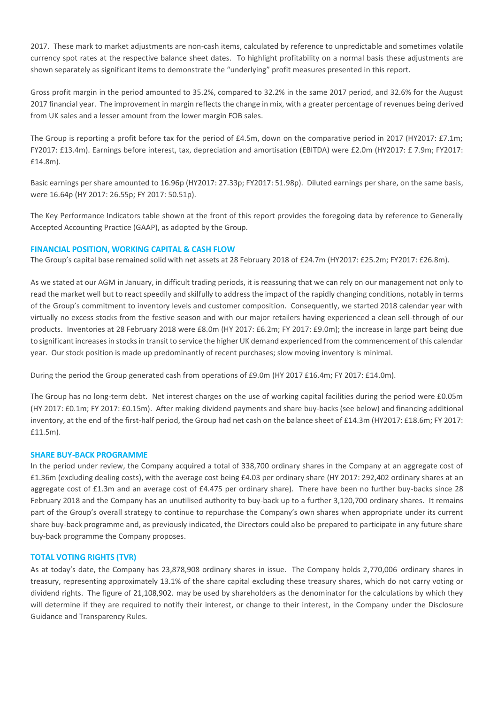2017. These mark to market adjustments are non-cash items, calculated by reference to unpredictable and sometimes volatile currency spot rates at the respective balance sheet dates. To highlight profitability on a normal basis these adjustments are shown separately as significant items to demonstrate the "underlying" profit measures presented in this report.

Gross profit margin in the period amounted to 35.2%, compared to 32.2% in the same 2017 period, and 32.6% for the August 2017 financial year. The improvement in margin reflects the change in mix, with a greater percentage of revenues being derived from UK sales and a lesser amount from the lower margin FOB sales.

The Group is reporting a profit before tax for the period of £4.5m, down on the comparative period in 2017 (HY2017: £7.1m; FY2017: £13.4m). Earnings before interest, tax, depreciation and amortisation (EBITDA) were £2.0m (HY2017: £ 7.9m; FY2017: £14.8m).

Basic earnings per share amounted to 16.96p (HY2017: 27.33p; FY2017: 51.98p). Diluted earnings per share, on the same basis, were 16.64p (HY 2017: 26.55p; FY 2017: 50.51p).

The Key Performance Indicators table shown at the front of this report provides the foregoing data by reference to Generally Accepted Accounting Practice (GAAP), as adopted by the Group.

# **FINANCIAL POSITION, WORKING CAPITAL & CASH FLOW**

The Group's capital base remained solid with net assets at 28 February 2018 of £24.7m (HY2017: £25.2m; FY2017: £26.8m).

As we stated at our AGM in January, in difficult trading periods, it is reassuring that we can rely on our management not only to read the market well but to react speedily and skilfully to address the impact of the rapidly changing conditions, notably in terms of the Group's commitment to inventory levels and customer composition. Consequently, we started 2018 calendar year with virtually no excess stocks from the festive season and with our major retailers having experienced a clean sell-through of our products. Inventories at 28 February 2018 were £8.0m (HY 2017: £6.2m; FY 2017: £9.0m); the increase in large part being due to significant increases in stocks in transit to service the higher UK demand experienced from the commencement of this calendar year. Our stock position is made up predominantly of recent purchases; slow moving inventory is minimal.

During the period the Group generated cash from operations of £9.0m (HY 2017 £16.4m; FY 2017: £14.0m).

The Group has no long-term debt. Net interest charges on the use of working capital facilities during the period were £0.05m (HY 2017: £0.1m; FY 2017: £0.15m). After making dividend payments and share buy-backs (see below) and financing additional inventory, at the end of the first-half period, the Group had net cash on the balance sheet of £14.3m (HY2017: £18.6m; FY 2017: £11.5m).

# **SHARE BUY-BACK PROGRAMME**

In the period under review, the Company acquired a total of 338,700 ordinary shares in the Company at an aggregate cost of £1.36m (excluding dealing costs), with the average cost being £4.03 per ordinary share (HY 2017: 292,402 ordinary shares at an aggregate cost of £1.3m and an average cost of £4.475 per ordinary share). There have been no further buy-backs since 28 February 2018 and the Company has an unutilised authority to buy-back up to a further 3,120,700 ordinary shares. It remains part of the Group's overall strategy to continue to repurchase the Company's own shares when appropriate under its current share buy-back programme and, as previously indicated, the Directors could also be prepared to participate in any future share buy-back programme the Company proposes.

# **TOTAL VOTING RIGHTS (TVR)**

As at today's date, the Company has 23,878,908 ordinary shares in issue. The Company holds 2,770,006 ordinary shares in treasury, representing approximately 13.1% of the share capital excluding these treasury shares, which do not carry voting or dividend rights. The figure of 21,108,902. may be used by shareholders as the denominator for the calculations by which they will determine if they are required to notify their interest, or change to their interest, in the Company under the Disclosure Guidance and Transparency Rules.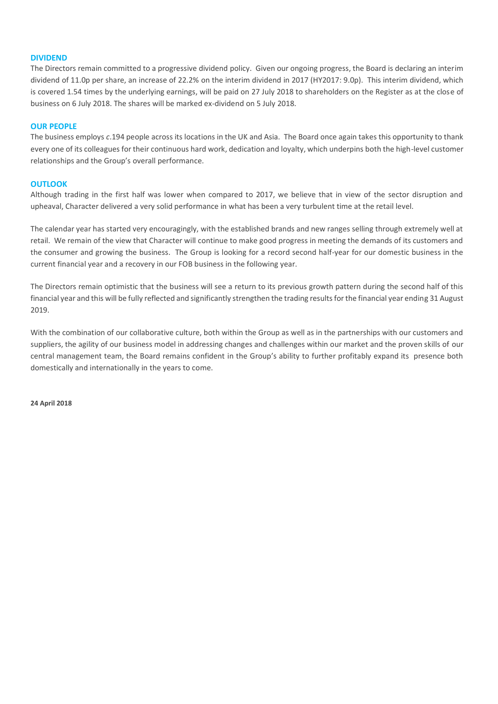### **DIVIDEND**

The Directors remain committed to a progressive dividend policy. Given our ongoing progress, the Board is declaring an interim dividend of 11.0p per share, an increase of 22.2% on the interim dividend in 2017 (HY2017: 9.0p). This interim dividend, which is covered 1.54 times by the underlying earnings, will be paid on 27 July 2018 to shareholders on the Register as at the close of business on 6 July 2018. The shares will be marked ex-dividend on 5 July 2018.

### **OUR PEOPLE**

The business employs *c*.194 people across its locations in the UK and Asia. The Board once again takes this opportunity to thank every one of its colleagues for their continuous hard work, dedication and loyalty, which underpins both the high-level customer relationships and the Group's overall performance.

# **OUTLOOK**

Although trading in the first half was lower when compared to 2017, we believe that in view of the sector disruption and upheaval, Character delivered a very solid performance in what has been a very turbulent time at the retail level.

The calendar year has started very encouragingly, with the established brands and new ranges selling through extremely well at retail. We remain of the view that Character will continue to make good progress in meeting the demands of its customers and the consumer and growing the business. The Group is looking for a record second half-year for our domestic business in the current financial year and a recovery in our FOB business in the following year.

The Directors remain optimistic that the business will see a return to its previous growth pattern during the second half of this financial year and this will be fully reflected and significantly strengthen the trading results for the financial year ending 31 August 2019.

With the combination of our collaborative culture, both within the Group as well as in the partnerships with our customers and suppliers, the agility of our business model in addressing changes and challenges within our market and the proven skills of our central management team, the Board remains confident in the Group's ability to further profitably expand its presence both domestically and internationally in the years to come.

**24 April 2018**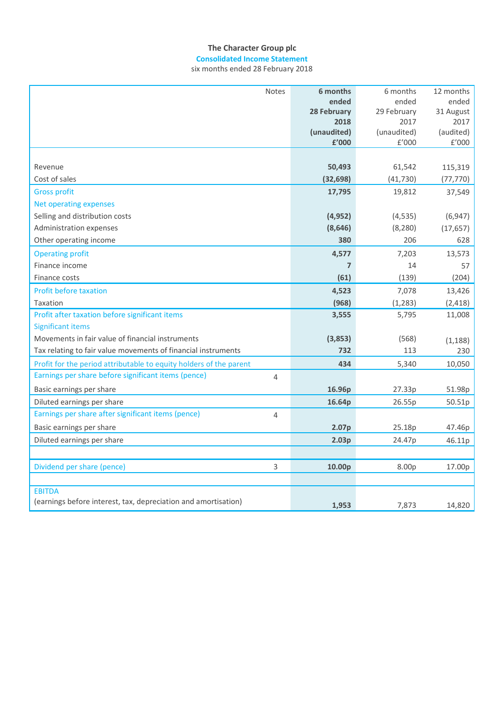# **The Character Group plc Consolidated Income Statement**

| <b>Notes</b>                                                          | 6 months            | 6 months            | 12 months            |
|-----------------------------------------------------------------------|---------------------|---------------------|----------------------|
|                                                                       | ended               | ended               | ended                |
|                                                                       | 28 February         | 29 February         | 31 August            |
|                                                                       | 2018<br>(unaudited) | 2017<br>(unaudited) | 2017<br>(audited)    |
|                                                                       | £'000               | f'000               | $\rm{f}^{\prime}000$ |
|                                                                       |                     |                     |                      |
| Revenue                                                               | 50,493              | 61,542              | 115,319              |
| Cost of sales                                                         | (32, 698)           | (41, 730)           | (77, 770)            |
| <b>Gross profit</b>                                                   | 17,795              | 19,812              | 37,549               |
| Net operating expenses                                                |                     |                     |                      |
| Selling and distribution costs                                        | (4, 952)            | (4, 535)            | (6, 947)             |
| Administration expenses                                               | (8,646)             | (8, 280)            | (17, 657)            |
| Other operating income                                                | 380                 | 206                 | 628                  |
| <b>Operating profit</b>                                               | 4,577               | 7,203               | 13,573               |
| Finance income                                                        | $\overline{7}$      | 14                  | 57                   |
| Finance costs                                                         | (61)                | (139)               | (204)                |
| <b>Profit before taxation</b>                                         | 4,523               | 7,078               | 13,426               |
| Taxation                                                              | (968)               | (1, 283)            | (2, 418)             |
| Profit after taxation before significant items                        | 3,555               | 5,795               | 11,008               |
| <b>Significant items</b>                                              |                     |                     |                      |
| Movements in fair value of financial instruments                      | (3,853)             | (568)               | (1, 188)             |
| Tax relating to fair value movements of financial instruments         | 732                 | 113                 | 230                  |
| Profit for the period attributable to equity holders of the parent    | 434                 | 5,340               | 10,050               |
| Earnings per share before significant items (pence)<br>$\overline{4}$ |                     |                     |                      |
| Basic earnings per share                                              | 16.96p              | 27.33p              | 51.98p               |
| Diluted earnings per share                                            | 16.64p              | 26.55p              | 50.51p               |
| Earnings per share after significant items (pence)<br>4               |                     |                     |                      |
| Basic earnings per share                                              | 2.07p               | 25.18p              | 47.46p               |
| Diluted earnings per share                                            | 2.03p               | 24.47p              | 46.11p               |
|                                                                       |                     |                     |                      |
| Dividend per share (pence)<br>3                                       | 10.00p              | 8.00p               | 17.00p               |
|                                                                       |                     |                     |                      |
| <b>EBITDA</b>                                                         |                     |                     |                      |
| (earnings before interest, tax, depreciation and amortisation)        | 1,953               | 7,873               | 14,820               |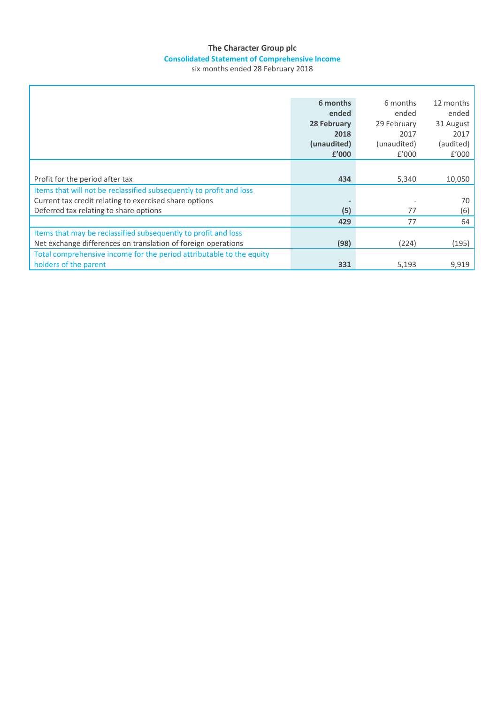# **The Character Group plc Consolidated Statement of Comprehensive Income**

|                                                                      | 6 months    | 6 months    | 12 months |
|----------------------------------------------------------------------|-------------|-------------|-----------|
|                                                                      | ended       | ended       | ended     |
|                                                                      | 28 February | 29 February | 31 August |
|                                                                      | 2018        | 2017        | 2017      |
|                                                                      | (unaudited) | (unaudited) | (audited) |
|                                                                      | £'000       | f'000       | f'000     |
|                                                                      |             |             |           |
| Profit for the period after tax                                      | 434         | 5,340       | 10,050    |
| Items that will not be reclassified subsequently to profit and loss  |             |             |           |
| Current tax credit relating to exercised share options               |             |             | 70        |
| Deferred tax relating to share options                               | (5)         | 77          | (6)       |
|                                                                      | 429         | 77          | 64        |
| Items that may be reclassified subsequently to profit and loss       |             |             |           |
| Net exchange differences on translation of foreign operations        | (98)        | (224)       | (195)     |
| Total comprehensive income for the period attributable to the equity |             |             |           |
| holders of the parent                                                | 331         | 5,193       | 9,919     |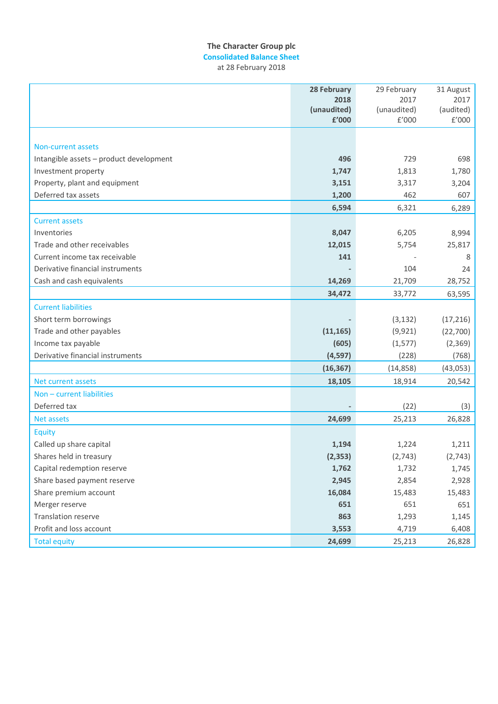# **The Character Group plc Consolidated Balance Sheet**

at 28 February 2018

|                                         | 28 February | 29 February | 31 August |
|-----------------------------------------|-------------|-------------|-----------|
|                                         | 2018        | 2017        | 2017      |
|                                         | (unaudited) | (unaudited) | (audited) |
|                                         | £'000       | E'000       | £'000     |
|                                         |             |             |           |
| <b>Non-current assets</b>               |             |             |           |
| Intangible assets - product development | 496         | 729         | 698       |
| Investment property                     | 1,747       | 1,813       | 1,780     |
| Property, plant and equipment           | 3,151       | 3,317       | 3,204     |
| Deferred tax assets                     | 1,200       | 462         | 607       |
|                                         | 6,594       | 6,321       | 6,289     |
| <b>Current assets</b>                   |             |             |           |
| Inventories                             | 8,047       | 6,205       | 8,994     |
| Trade and other receivables             | 12,015      | 5,754       | 25,817    |
| Current income tax receivable           | 141         |             | 8         |
| Derivative financial instruments        |             | 104         | 24        |
| Cash and cash equivalents               | 14,269      | 21,709      | 28,752    |
|                                         | 34,472      | 33,772      | 63,595    |
| <b>Current liabilities</b>              |             |             |           |
| Short term borrowings                   |             | (3, 132)    | (17, 216) |
| Trade and other payables                | (11, 165)   | (9, 921)    | (22, 700) |
| Income tax payable                      | (605)       | (1, 577)    | (2, 369)  |
| Derivative financial instruments        | (4, 597)    | (228)       | (768)     |
|                                         | (16, 367)   | (14, 858)   | (43, 053) |
| Net current assets                      | 18,105      | 18,914      | 20,542    |
| Non - current liabilities               |             |             |           |
| Deferred tax                            |             | (22)        | (3)       |
| <b>Net assets</b>                       | 24,699      | 25,213      | 26,828    |
| Equity                                  |             |             |           |
| Called up share capital                 | 1,194       | 1,224       | 1,211     |
| Shares held in treasury                 | (2, 353)    | (2,743)     | (2, 743)  |
| Capital redemption reserve              | 1,762       | 1,732       | 1,745     |
| Share based payment reserve             | 2,945       | 2,854       | 2,928     |
| Share premium account                   | 16,084      | 15,483      | 15,483    |
| Merger reserve                          | 651         | 651         | 651       |
| Translation reserve                     | 863         | 1,293       | 1,145     |
| Profit and loss account                 | 3,553       | 4,719       | 6,408     |
| <b>Total equity</b>                     | 24,699      | 25,213      | 26,828    |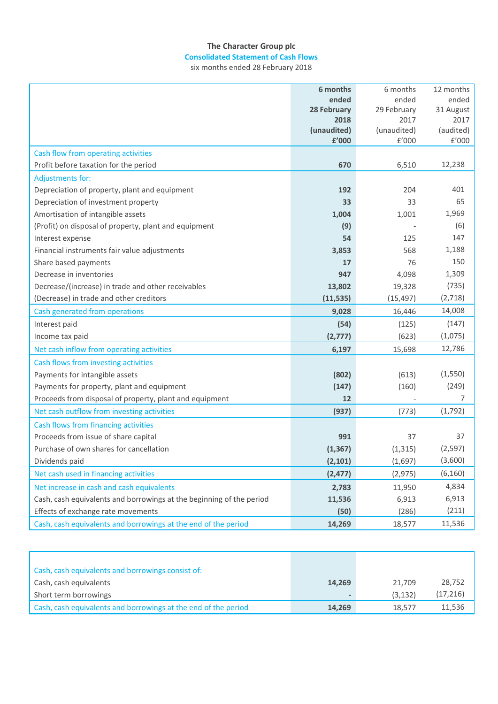# **The Character Group plc Consolidated Statement of Cash Flows**

|                                                                      | 6 months            | 6 months            | 12 months         |
|----------------------------------------------------------------------|---------------------|---------------------|-------------------|
|                                                                      | ended               | ended               | ended             |
|                                                                      | 28 February         | 29 February         | 31 August         |
|                                                                      | 2018<br>(unaudited) | 2017<br>(unaudited) | 2017<br>(audited) |
|                                                                      | £'000               | £'000               | £'000             |
| Cash flow from operating activities                                  |                     |                     |                   |
| Profit before taxation for the period                                | 670                 | 6,510               | 12,238            |
| <b>Adjustments for:</b>                                              |                     |                     |                   |
| Depreciation of property, plant and equipment                        | 192                 | 204                 | 401               |
| Depreciation of investment property                                  | 33                  | 33                  | 65                |
| Amortisation of intangible assets                                    | 1,004               | 1,001               | 1,969             |
| (Profit) on disposal of property, plant and equipment                | (9)                 |                     | (6)               |
| Interest expense                                                     | 54                  | 125                 | 147               |
| Financial instruments fair value adjustments                         | 3,853               | 568                 | 1,188             |
| Share based payments                                                 | 17                  | 76                  | 150               |
| Decrease in inventories                                              | 947                 | 4,098               | 1,309             |
| Decrease/(increase) in trade and other receivables                   | 13,802              | 19,328              | (735)             |
| (Decrease) in trade and other creditors                              | (11, 535)           | (15, 497)           | (2,718)           |
| Cash generated from operations                                       | 9,028               | 16,446              | 14,008            |
| Interest paid                                                        | (54)                | (125)               | (147)             |
| Income tax paid                                                      | (2,777)             | (623)               | (1,075)           |
| Net cash inflow from operating activities                            | 6,197               | 15,698              | 12,786            |
| Cash flows from investing activities                                 |                     |                     |                   |
| Payments for intangible assets                                       | (802)               | (613)               | (1,550)           |
| Payments for property, plant and equipment                           | (147)               | (160)               | (249)             |
| Proceeds from disposal of property, plant and equipment              | 12                  |                     | 7                 |
| Net cash outflow from investing activities                           | (937)               | (773)               | (1,792)           |
| Cash flows from financing activities                                 |                     |                     |                   |
| Proceeds from issue of share capital                                 | 991                 | 37                  | 37                |
| Purchase of own shares for cancellation                              | (1, 367)            | (1, 315)            | (2, 597)          |
| Dividends paid                                                       | (2, 101)            | (1,697)             | (3,600)           |
| Net cash used in financing activities                                | (2, 477)            | (2, 975)            | (6, 160)          |
| Net increase in cash and cash equivalents                            | 2,783               | 11,950              | 4,834             |
| Cash, cash equivalents and borrowings at the beginning of the period | 11,536              | 6,913               | 6,913             |
| Effects of exchange rate movements                                   | (50)                | (286)               | (211)             |
| Cash, cash equivalents and borrowings at the end of the period       | 14,269              | 18,577              | 11,536            |

| Cash, cash equivalents and borrowings consist of:              |        |         |           |
|----------------------------------------------------------------|--------|---------|-----------|
| Cash, cash equivalents                                         | 14,269 | 21.709  | 28,752    |
| Short term borrowings                                          |        | (3.132) | (17, 216) |
| Cash, cash equivalents and borrowings at the end of the period | 14,269 | 18.577  | 11,536    |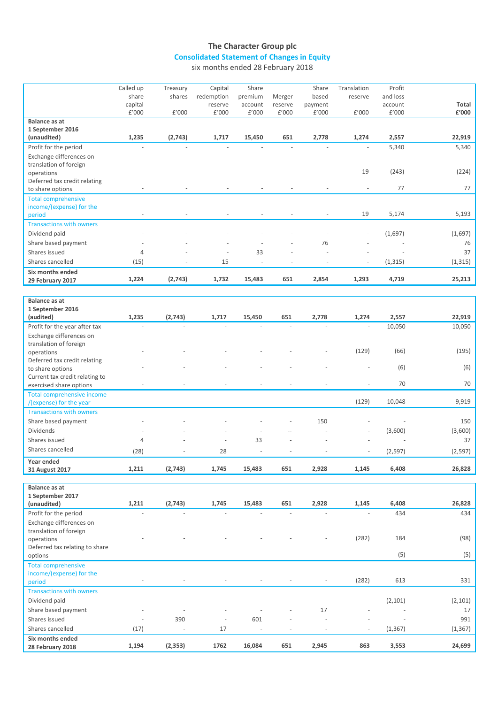# **The Character Group plc Consolidated Statement of Changes in Equity**

|                                 | Called up      | Treasury       | Capital                  | Share                    |                          | Share                    | Translation    | Profit   |          |
|---------------------------------|----------------|----------------|--------------------------|--------------------------|--------------------------|--------------------------|----------------|----------|----------|
|                                 | share          | shares         | redemption               | premium                  | Merger                   | based                    | reserve        | and loss |          |
|                                 | capital        |                | reserve                  | account                  | reserve                  | payment                  |                | account  | Total    |
|                                 | £'000          | £'000          | £'000                    | £'000                    | £'000                    | £'000                    | £'000          | £'000    | £'000    |
| Balance as at                   |                |                |                          |                          |                          |                          |                |          |          |
| 1 September 2016                |                |                |                          |                          |                          |                          |                |          |          |
| (unaudited)                     | 1,235          | (2,743)        | 1,717                    | 15,450                   | 651                      | 2,778                    | 1,274          | 2,557    | 22,919   |
| Profit for the period           |                |                |                          |                          |                          |                          |                | 5,340    | 5,340    |
| Exchange differences on         |                |                |                          |                          |                          |                          |                |          |          |
| translation of foreign          |                |                |                          |                          |                          |                          |                |          |          |
| operations                      |                |                |                          |                          |                          |                          | 19             | (243)    | (224)    |
| Deferred tax credit relating    |                |                |                          |                          |                          |                          |                |          |          |
| to share options                |                |                |                          |                          |                          |                          |                | 77       | 77       |
| <b>Total comprehensive</b>      |                |                |                          |                          |                          |                          |                |          |          |
| income/(expense) for the        |                |                |                          |                          |                          |                          |                |          |          |
| period                          |                |                |                          |                          |                          |                          | 19             | 5,174    | 5,193    |
| <b>Transactions with owners</b> |                |                |                          |                          |                          |                          |                |          |          |
| Dividend paid                   |                |                |                          |                          |                          |                          |                | (1,697)  | (1,697)  |
| Share based payment             |                |                |                          |                          |                          | 76                       |                |          | 76       |
| Shares issued                   | 4              |                |                          | 33                       |                          |                          |                |          | 37       |
| Shares cancelled                | (15)           |                | 15                       | ÷,                       |                          |                          |                | (1, 315) | (1, 315) |
| Six months ended                |                |                |                          |                          |                          |                          |                |          |          |
| 29 February 2017                | 1,224          | (2,743)        | 1,732                    | 15,483                   | 651                      | 2,854                    | 1,293          | 4,719    | 25,213   |
|                                 |                |                |                          |                          |                          |                          |                |          |          |
| <b>Balance as at</b>            |                |                |                          |                          |                          |                          |                |          |          |
| 1 September 2016                |                |                |                          |                          |                          |                          |                |          |          |
| (audited)                       | 1,235          | (2,743)        | 1,717                    | 15,450                   | 651                      | 2,778                    | 1,274          | 2,557    | 22,919   |
| Profit for the year after tax   | $\sim$         | ÷,             |                          |                          | L.                       | $\sim$                   | $\overline{a}$ | 10,050   | 10,050   |
| Exchange differences on         |                |                |                          |                          |                          |                          |                |          |          |
| translation of foreign          |                |                |                          |                          |                          |                          |                |          |          |
| operations                      |                |                |                          |                          |                          |                          | (129)          | (66)     | (195)    |
| Deferred tax credit relating    |                |                |                          |                          |                          |                          |                |          |          |
| to share options                |                |                |                          |                          |                          |                          |                | (6)      | (6)      |
| Current tax credit relating to  |                |                |                          |                          |                          |                          |                |          |          |
| exercised share options         |                | L,             | $\overline{\phantom{a}}$ | $\overline{\phantom{a}}$ | $\overline{\phantom{a}}$ | $\overline{\phantom{a}}$ | ÷,             | 70       | 70       |
| Total comprehensive income      |                |                |                          |                          |                          |                          |                |          |          |
| /(expense) for the year         |                | $\overline{a}$ |                          |                          | $\overline{a}$           | $\sim$                   | (129)          | 10,048   | 9,919    |
| <b>Transactions with owners</b> |                |                |                          |                          |                          |                          |                |          |          |
| Share based payment             |                |                |                          |                          | L,                       | 150                      |                |          | 150      |
| Dividends                       |                |                |                          |                          |                          |                          |                | (3,600)  | (3,600)  |
| Shares issued                   | $\overline{4}$ |                |                          | 33                       |                          |                          |                |          | 37       |
| Shares cancelled                | (28)           |                | 28                       |                          |                          |                          |                | (2,597)  | (2,597)  |
|                                 |                |                |                          |                          |                          |                          |                |          |          |
| Year ended                      | 1,211          | (2,743)        | 1,745                    | 15,483                   | 651                      | 2,928                    | 1,145          | 6,408    | 26,828   |
| 31 August 2017                  |                |                |                          |                          |                          |                          |                |          |          |

| 1,211                        | (2,743)                  | 1,745                    | 15,483                   | 651                      | 2,928                    | 1,145                    | 6,408                    | 26,828            |
|------------------------------|--------------------------|--------------------------|--------------------------|--------------------------|--------------------------|--------------------------|--------------------------|-------------------|
| ٠                            | ٠                        |                          |                          |                          |                          | $\overline{\phantom{a}}$ | 434                      | 434               |
|                              |                          |                          |                          |                          |                          |                          |                          |                   |
|                              |                          |                          |                          |                          |                          |                          |                          |                   |
|                              |                          |                          |                          |                          | $\overline{\phantom{a}}$ |                          |                          | (98)              |
|                              |                          |                          |                          |                          |                          |                          |                          |                   |
| $\qquad \qquad \blacksquare$ | $\overline{\phantom{a}}$ | $\overline{\phantom{a}}$ | $\overline{\phantom{a}}$ | $\overline{\phantom{a}}$ |                          | $\overline{\phantom{a}}$ |                          | (5)               |
|                              |                          |                          |                          |                          |                          |                          |                          |                   |
|                              |                          |                          |                          |                          |                          |                          |                          |                   |
| $\overline{\phantom{a}}$     | $\overline{\phantom{a}}$ |                          |                          |                          |                          |                          |                          | 331               |
|                              |                          |                          |                          |                          |                          |                          |                          |                   |
| $\overline{\phantom{a}}$     | $\overline{\phantom{a}}$ | $\overline{\phantom{a}}$ | $\overline{\phantom{a}}$ | $\overline{a}$           |                          | $\overline{\phantom{a}}$ | (2, 101)                 | (2, 101)          |
| $\overline{\phantom{a}}$     | ٠                        | $\overline{\phantom{a}}$ | $\overline{\phantom{a}}$ | $\overline{\phantom{a}}$ | 17                       | $\overline{\phantom{a}}$ | $\overline{\phantom{a}}$ | 17                |
| ٠                            | 390                      | $\overline{\phantom{a}}$ | 601                      | $\overline{\phantom{a}}$ | $\overline{\phantom{a}}$ | $\overline{\phantom{a}}$ | ٠                        | 991               |
| (17)                         | $\overline{\phantom{a}}$ | 17                       | $\overline{\phantom{a}}$ | ٠                        |                          | $\overline{\phantom{a}}$ | (1, 367)                 | (1, 367)          |
|                              |                          |                          |                          |                          |                          |                          |                          |                   |
| 1,194                        |                          | 1762                     | 16,084                   | 651                      | 2,945                    | 863                      | 3,553                    | 24,699            |
|                              |                          | (2, 353)                 |                          |                          |                          |                          | (282)<br>(282)           | 184<br>(5)<br>613 |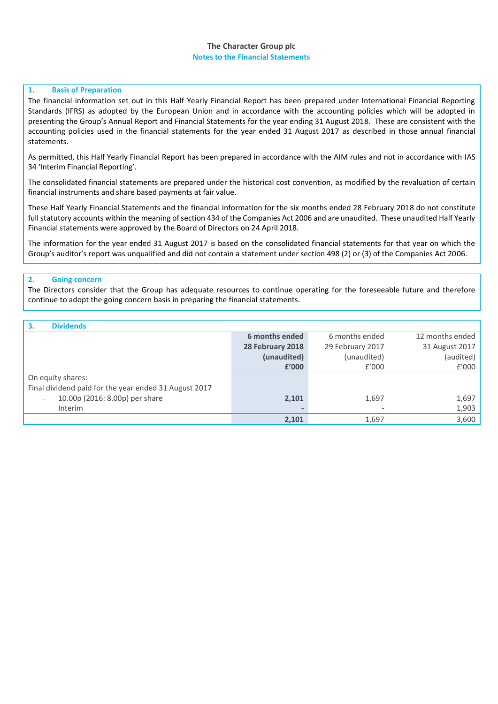# **The Character Group plc Notes to the Financial Statements**

# **1. Basis of Preparation**

The financial information set out in this Half Yearly Financial Report has been prepared under International Financial Reporting Standards (IFRS) as adopted by the European Union and in accordance with the accounting policies which will be adopted in presenting the Group's Annual Report and Financial Statements for the year ending 31 August 2018. These are consistent with the accounting policies used in the financial statements for the year ended 31 August 2017 as described in those annual financial statements.

As permitted, this Half Yearly Financial Report has been prepared in accordance with the AIM rules and not in accordance with IAS 34 'Interim Financial Reporting'.

The consolidated financial statements are prepared under the historical cost convention, as modified by the revaluation of certain financial instruments and share based payments at fair value.

These Half Yearly Financial Statements and the financial information for the six months ended 28 February 2018 do not constitute full statutory accounts within the meaning of section 434 of the Companies Act 2006 and are unaudited. These unaudited Half Yearly Financial statements were approved by the Board of Directors on 24 April 2018.

The information for the year ended 31 August 2017 is based on the consolidated financial statements for that year on which the Group's auditor's report was unqualified and did not contain a statement under section 498 (2) or (3) of the Companies Act 2006.

# **2. Going concern**

The Directors consider that the Group has adequate resources to continue operating for the foreseeable future and therefore continue to adopt the going concern basis in preparing the financial statements.

| <b>Dividends</b><br>3.                                     |                  |                  |                 |
|------------------------------------------------------------|------------------|------------------|-----------------|
|                                                            | 6 months ended   | 6 months ended   | 12 months ended |
|                                                            | 28 February 2018 | 29 February 2017 | 31 August 2017  |
|                                                            | (unaudited)      | (unaudited)      | (audited)       |
|                                                            | £'000            | f'000            | £'000           |
| On equity shares:                                          |                  |                  |                 |
| Final dividend paid for the year ended 31 August 2017      |                  |                  |                 |
| 10.00p (2016: 8.00p) per share<br>$\overline{\phantom{a}}$ | 2,101            | 1,697            | 1,697           |
| Interim<br>$\overline{\phantom{a}}$                        |                  |                  | 1,903           |
|                                                            | 2,101            | 1.697            | 3,600           |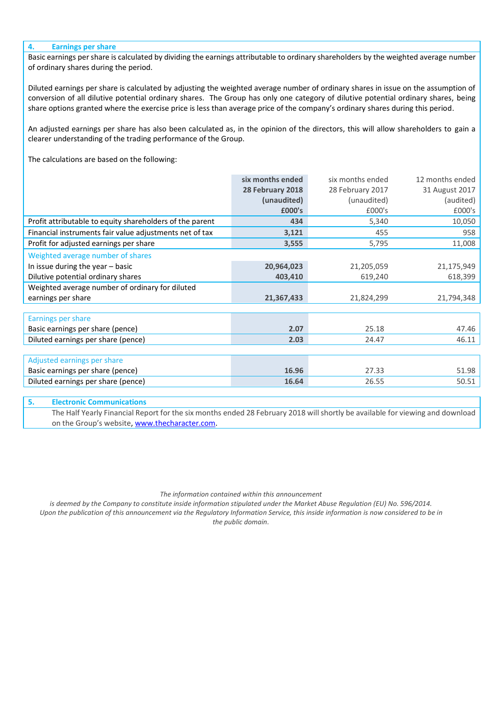### **4. Earnings per share**

Basic earnings per share is calculated by dividing the earnings attributable to ordinary shareholders by the weighted average number of ordinary shares during the period.

Diluted earnings per share is calculated by adjusting the weighted average number of ordinary shares in issue on the assumption of conversion of all dilutive potential ordinary shares. The Group has only one category of dilutive potential ordinary shares, being share options granted where the exercise price is less than average price of the company's ordinary shares during this period.

An adjusted earnings per share has also been calculated as, in the opinion of the directors, this will allow shareholders to gain a clearer understanding of the trading performance of the Group.

The calculations are based on the following:

| 28 February 2017<br>28 February 2018<br>31 August 2017<br>(audited)<br>(unaudited)<br>(unaudited)<br>£000's<br>£000's<br>£000's<br>Profit attributable to equity shareholders of the parent<br>5,340<br>10,050<br>434<br>Financial instruments fair value adjustments net of tax<br>3,121<br>455<br>958<br>Profit for adjusted earnings per share<br>11,008<br>3,555<br>5,795<br>Weighted average number of shares<br>In issue during the year - basic<br>20,964,023<br>21,175,949<br>21,205,059<br>Dilutive potential ordinary shares<br>618,399<br>403,410<br>619,240<br>Weighted average number of ordinary for diluted<br>earnings per share<br>21,367,433<br>21,824,299<br>21,794,348<br>Earnings per share<br>Basic earnings per share (pence)<br>2.07<br>47.46<br>25.18<br>Diluted earnings per share (pence)<br>46.11<br>2.03<br>24.47<br>Adjusted earnings per share<br>16.96<br>Basic earnings per share (pence)<br>27.33<br>51.98<br>Diluted earnings per share (pence)<br>16.64<br>50.51<br>26.55 | six months ended | six months ended | 12 months ended |
|---------------------------------------------------------------------------------------------------------------------------------------------------------------------------------------------------------------------------------------------------------------------------------------------------------------------------------------------------------------------------------------------------------------------------------------------------------------------------------------------------------------------------------------------------------------------------------------------------------------------------------------------------------------------------------------------------------------------------------------------------------------------------------------------------------------------------------------------------------------------------------------------------------------------------------------------------------------------------------------------------------------|------------------|------------------|-----------------|
|                                                                                                                                                                                                                                                                                                                                                                                                                                                                                                                                                                                                                                                                                                                                                                                                                                                                                                                                                                                                               |                  |                  |                 |
|                                                                                                                                                                                                                                                                                                                                                                                                                                                                                                                                                                                                                                                                                                                                                                                                                                                                                                                                                                                                               |                  |                  |                 |
|                                                                                                                                                                                                                                                                                                                                                                                                                                                                                                                                                                                                                                                                                                                                                                                                                                                                                                                                                                                                               |                  |                  |                 |
|                                                                                                                                                                                                                                                                                                                                                                                                                                                                                                                                                                                                                                                                                                                                                                                                                                                                                                                                                                                                               |                  |                  |                 |
|                                                                                                                                                                                                                                                                                                                                                                                                                                                                                                                                                                                                                                                                                                                                                                                                                                                                                                                                                                                                               |                  |                  |                 |
|                                                                                                                                                                                                                                                                                                                                                                                                                                                                                                                                                                                                                                                                                                                                                                                                                                                                                                                                                                                                               |                  |                  |                 |
|                                                                                                                                                                                                                                                                                                                                                                                                                                                                                                                                                                                                                                                                                                                                                                                                                                                                                                                                                                                                               |                  |                  |                 |
|                                                                                                                                                                                                                                                                                                                                                                                                                                                                                                                                                                                                                                                                                                                                                                                                                                                                                                                                                                                                               |                  |                  |                 |
|                                                                                                                                                                                                                                                                                                                                                                                                                                                                                                                                                                                                                                                                                                                                                                                                                                                                                                                                                                                                               |                  |                  |                 |
|                                                                                                                                                                                                                                                                                                                                                                                                                                                                                                                                                                                                                                                                                                                                                                                                                                                                                                                                                                                                               |                  |                  |                 |
|                                                                                                                                                                                                                                                                                                                                                                                                                                                                                                                                                                                                                                                                                                                                                                                                                                                                                                                                                                                                               |                  |                  |                 |
|                                                                                                                                                                                                                                                                                                                                                                                                                                                                                                                                                                                                                                                                                                                                                                                                                                                                                                                                                                                                               |                  |                  |                 |
|                                                                                                                                                                                                                                                                                                                                                                                                                                                                                                                                                                                                                                                                                                                                                                                                                                                                                                                                                                                                               |                  |                  |                 |
|                                                                                                                                                                                                                                                                                                                                                                                                                                                                                                                                                                                                                                                                                                                                                                                                                                                                                                                                                                                                               |                  |                  |                 |
|                                                                                                                                                                                                                                                                                                                                                                                                                                                                                                                                                                                                                                                                                                                                                                                                                                                                                                                                                                                                               |                  |                  |                 |
|                                                                                                                                                                                                                                                                                                                                                                                                                                                                                                                                                                                                                                                                                                                                                                                                                                                                                                                                                                                                               |                  |                  |                 |
|                                                                                                                                                                                                                                                                                                                                                                                                                                                                                                                                                                                                                                                                                                                                                                                                                                                                                                                                                                                                               |                  |                  |                 |
|                                                                                                                                                                                                                                                                                                                                                                                                                                                                                                                                                                                                                                                                                                                                                                                                                                                                                                                                                                                                               |                  |                  |                 |
|                                                                                                                                                                                                                                                                                                                                                                                                                                                                                                                                                                                                                                                                                                                                                                                                                                                                                                                                                                                                               |                  |                  |                 |

### **5. Electronic Communications**

The Half Yearly Financial Report for the six months ended 28 February 2018 will shortly be available for viewing and download on the Group's website[, www.thecharacter.com.](http://www.thecharacter.com/)

#### *The information contained within this announcement*

*is deemed by the Company to constitute inside information stipulated under the Market Abuse Regulation (EU) No. 596/2014. Upon the publication of this announcement via the Regulatory Information Service, this inside information is now considered to be in the public domain.*